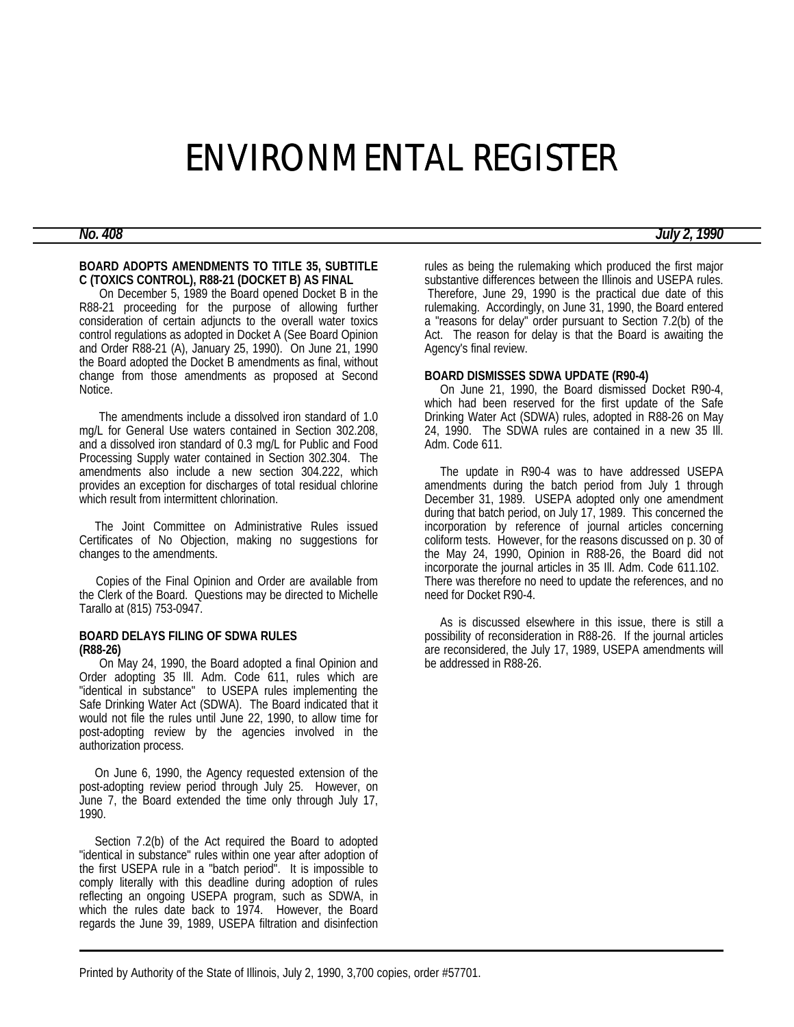# ENVIRONMENTAL REGISTER

#### **BOARD ADOPTS AMENDMENTS TO TITLE 35, SUBTITLE C (TOXICS CONTROL), R88-21 (DOCKET B) AS FINAL**

 On December 5, 1989 the Board opened Docket B in the R88-21 proceeding for the purpose of allowing further consideration of certain adjuncts to the overall water toxics control regulations as adopted in Docket A (See Board Opinion and Order R88-21 (A), January 25, 1990). On June 21, 1990 the Board adopted the Docket B amendments as final, without change from those amendments as proposed at Second Notice.

 The amendments include a dissolved iron standard of 1.0 mg/L for General Use waters contained in Section 302.208, and a dissolved iron standard of 0.3 mg/L for Public and Food Processing Supply water contained in Section 302.304. The amendments also include a new section 304.222, which provides an exception for discharges of total residual chlorine which result from intermittent chlorination.

 The Joint Committee on Administrative Rules issued Certificates of No Objection, making no suggestions for changes to the amendments.

 Copies of the Final Opinion and Order are available from the Clerk of the Board. Questions may be directed to Michelle Tarallo at (815) 753-0947.

#### **BOARD DELAYS FILING OF SDWA RULES (R88-26)**

 On May 24, 1990, the Board adopted a final Opinion and Order adopting 35 Ill. Adm. Code 611, rules which are "identical in substance" to USEPA rules implementing the Safe Drinking Water Act (SDWA). The Board indicated that it would not file the rules until June 22, 1990, to allow time for post-adopting review by the agencies involved in the authorization process.

 On June 6, 1990, the Agency requested extension of the post-adopting review period through July 25. However, on June 7, the Board extended the time only through July 17, 1990.

 Section 7.2(b) of the Act required the Board to adopted "identical in substance" rules within one year after adoption of the first USEPA rule in a "batch period". It is impossible to comply literally with this deadline during adoption of rules reflecting an ongoing USEPA program, such as SDWA, in which the rules date back to 1974. However, the Board regards the June 39, 1989, USEPA filtration and disinfection

rules as being the rulemaking which produced the first major substantive differences between the Illinois and USEPA rules. Therefore, June 29, 1990 is the practical due date of this rulemaking. Accordingly, on June 31, 1990, the Board entered a "reasons for delay" order pursuant to Section 7.2(b) of the Act. The reason for delay is that the Board is awaiting the Agency's final review.

#### **BOARD DISMISSES SDWA UPDATE (R90-4)**

 On June 21, 1990, the Board dismissed Docket R90-4, which had been reserved for the first update of the Safe Drinking Water Act (SDWA) rules, adopted in R88-26 on May 24, 1990. The SDWA rules are contained in a new 35 Ill. Adm. Code 611.

 The update in R90-4 was to have addressed USEPA amendments during the batch period from July 1 through December 31, 1989. USEPA adopted only one amendment during that batch period, on July 17, 1989. This concerned the incorporation by reference of journal articles concerning coliform tests. However, for the reasons discussed on p. 30 of the May 24, 1990, Opinion in R88-26, the Board did not incorporate the journal articles in 35 Ill. Adm. Code 611.102. There was therefore no need to update the references, and no need for Docket R90-4.

 As is discussed elsewhere in this issue, there is still a possibility of reconsideration in R88-26. If the journal articles are reconsidered, the July 17, 1989, USEPA amendments will be addressed in R88-26.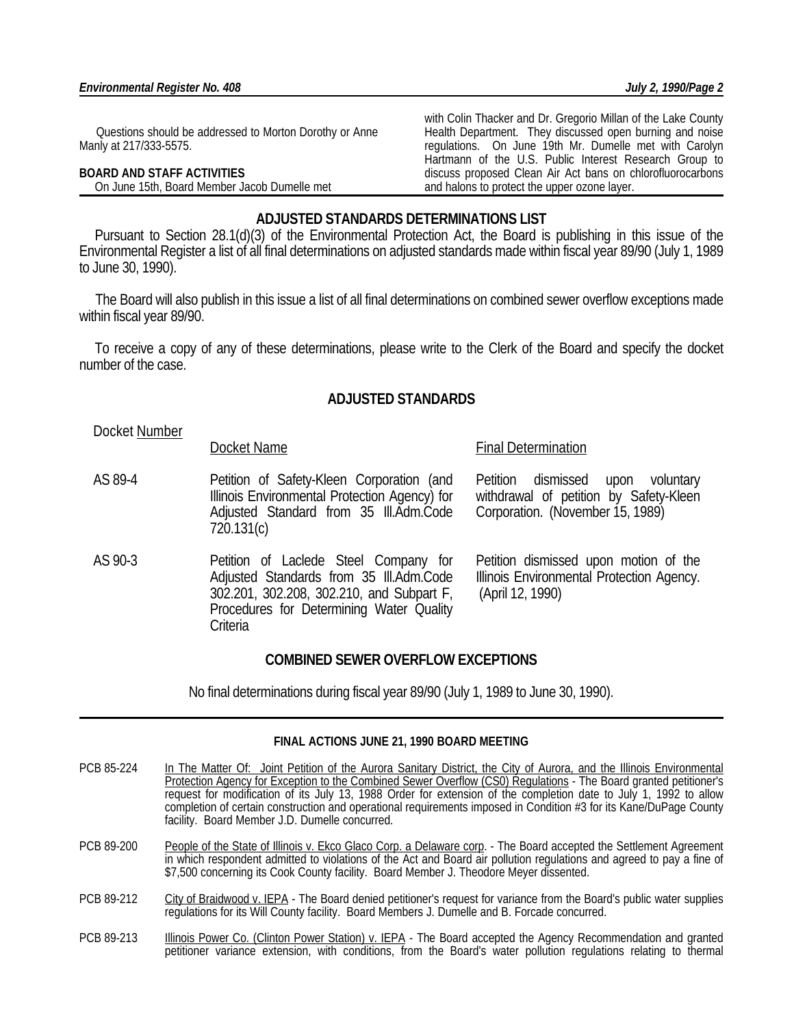Questions should be addressed to Morton Dorothy or Anne Manly at 217/333-5575.

**Criteria** 

# **BOARD AND STAFF ACTIVITIES**

On June 15th, Board Member Jacob Dumelle met

with Colin Thacker and Dr. Gregorio Millan of the Lake County Health Department. They discussed open burning and noise regulations. On June 19th Mr. Dumelle met with Carolyn Hartmann of the U.S. Public Interest Research Group to discuss proposed Clean Air Act bans on chlorofluorocarbons and halons to protect the upper ozone layer.

# **ADJUSTED STANDARDS DETERMINATIONS LIST**

 Pursuant to Section 28.1(d)(3) of the Environmental Protection Act, the Board is publishing in this issue of the Environmental Register a list of all final determinations on adjusted standards made within fiscal year 89/90 (July 1, 1989 to June 30, 1990).

 The Board will also publish in this issue a list of all final determinations on combined sewer overflow exceptions made within fiscal year 89/90.

 To receive a copy of any of these determinations, please write to the Clerk of the Board and specify the docket number of the case.

# **ADJUSTED STANDARDS**

Docket Number

# Docket Name Final Determination

AS 89-4 Petition of Safety-Kleen Corporation (and Illinois Environmental Protection Agency) for Adjusted Standard from 35 Ill.Adm.Code 720.131(c) Petition dismissed upon voluntary withdrawal of petition by Safety-Kleen Corporation. (November 15, 1989) AS 90-3 Petition of Laclede Steel Company for Adjusted Standards from 35 Ill.Adm.Code 302.201, 302.208, 302.210, and Subpart F, Petition dismissed upon motion of the Illinois Environmental Protection Agency. (April 12, 1990)

Procedures for Determining Water Quality

# **COMBINED SEWER OVERFLOW EXCEPTIONS**

No final determinations during fiscal year 89/90 (July 1, 1989 to June 30, 1990).

# **FINAL ACTIONS JUNE 21, 1990 BOARD MEETING**

- PCB 85-224 In The Matter Of: Joint Petition of the Aurora Sanitary District, the City of Aurora, and the Illinois Environmental Protection Agency for Exception to the Combined Sewer Overflow (CS0) Regulations - The Board granted petitioner's request for modification of its July 13, 1988 Order for extension of the completion date to July 1, 1992 to allow completion of certain construction and operational requirements imposed in Condition #3 for its Kane/DuPage County facility. Board Member J.D. Dumelle concurred.
- PCB 89-200 People of the State of Illinois v. Ekco Glaco Corp. a Delaware corp. The Board accepted the Settlement Agreement in which respondent admitted to violations of the Act and Board air pollution regulations and agreed to pay a fine of \$7,500 concerning its Cook County facility. Board Member J. Theodore Meyer dissented.
- PCB 89-212 City of Braidwood v. IEPA The Board denied petitioner's request for variance from the Board's public water supplies regulations for its Will County facility. Board Members J. Dumelle and B. Forcade concurred.
- PCB 89-213 Illinois Power Co. (Clinton Power Station) v. IEPA The Board accepted the Agency Recommendation and granted petitioner variance extension, with conditions, from the Board's water pollution regulations relating to thermal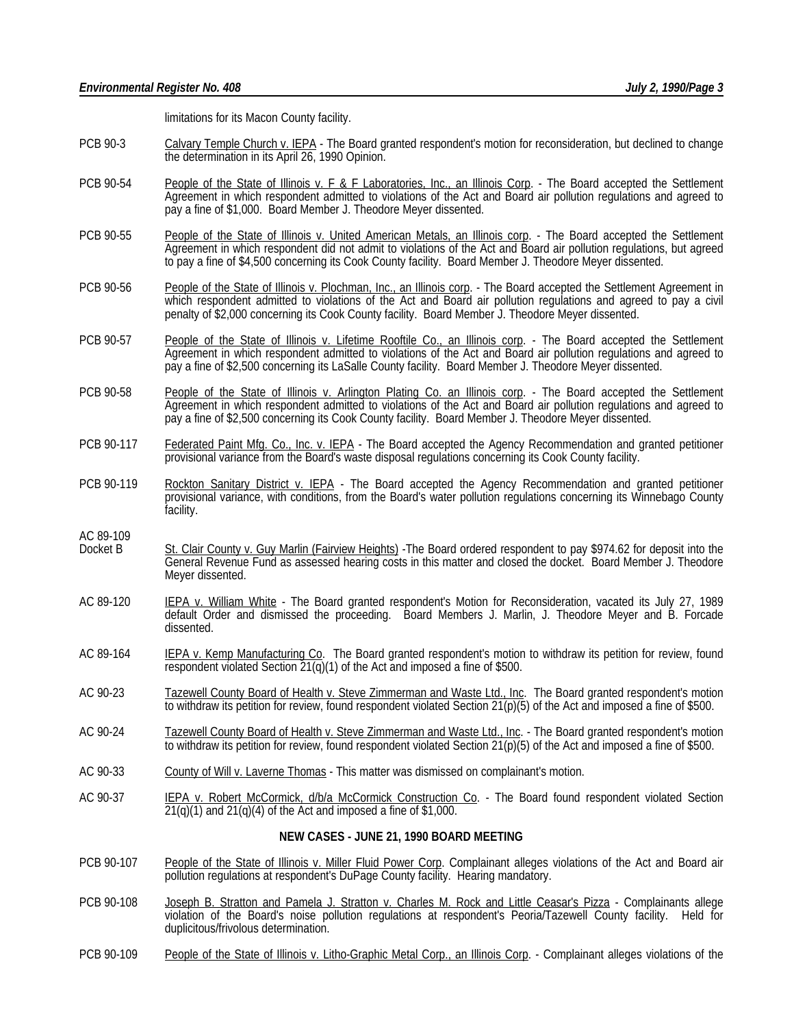limitations for its Macon County facility.

- PCB 90-3 Calvary Temple Church v. IEPA The Board granted respondent's motion for reconsideration, but declined to change the determination in its April 26, 1990 Opinion.
- PCB 90-54 People of the State of Illinois v. F & F Laboratories, Inc., an Illinois Corp. The Board accepted the Settlement Agreement in which respondent admitted to violations of the Act and Board air pollution regulations and agreed to pay a fine of \$1,000. Board Member J. Theodore Meyer dissented.
- PCB 90-55 People of the State of Illinois v. United American Metals, an Illinois corp. The Board accepted the Settlement Agreement in which respondent did not admit to violations of the Act and Board air pollution regulations, but agreed to pay a fine of \$4,500 concerning its Cook County facility. Board Member J. Theodore Meyer dissented.
- PCB 90-56 People of the State of Illinois v. Plochman, Inc., an Illinois corp. The Board accepted the Settlement Agreement in which respondent admitted to violations of the Act and Board air pollution regulations and agreed to pay a civil penalty of \$2,000 concerning its Cook County facility. Board Member J. Theodore Meyer dissented.
- PCB 90-57 People of the State of Illinois v. Lifetime Rooftile Co., an Illinois corp. The Board accepted the Settlement Agreement in which respondent admitted to violations of the Act and Board air pollution regulations and agreed to pay a fine of \$2,500 concerning its LaSalle County facility. Board Member J. Theodore Meyer dissented.
- PCB 90-58 People of the State of Illinois v. Arlington Plating Co. an Illinois corp. The Board accepted the Settlement Agreement in which respondent admitted to violations of the Act and Board air pollution regulations and agreed to pay a fine of \$2,500 concerning its Cook County facility. Board Member J. Theodore Meyer dissented.
- PCB 90-117 Federated Paint Mfg. Co., Inc. v. IEPA The Board accepted the Agency Recommendation and granted petitioner provisional variance from the Board's waste disposal regulations concerning its Cook County facility.
- PCB 90-119 Rockton Sanitary District v. IEPA The Board accepted the Agency Recommendation and granted petitioner provisional variance, with conditions, from the Board's water pollution regulations concerning its Winnebago County facility.
- **AC 89-109**<br>Docket B
- St. Clair County v. Guy Marlin (Fairview Heights) -The Board ordered respondent to pay \$974.62 for deposit into the General Revenue Fund as assessed hearing costs in this matter and closed the docket. Board Member J. Theodore Meyer dissented.
- AC 89-120 IEPA v. William White The Board granted respondent's Motion for Reconsideration, vacated its July 27, 1989 default Order and dismissed the proceeding. Board Members J. Marlin, J. Theodore Meyer and B. Forcade dissented.
- AC 89-164 **IEPA v. Kemp Manufacturing Co.** The Board granted respondent's motion to withdraw its petition for review, found respondent violated Section 21(q)(1) of the Act and imposed a fine of \$500.
- AC 90-23 Tazewell County Board of Health v. Steve Zimmerman and Waste Ltd., Inc. The Board granted respondent's motion to withdraw its petition for review, found respondent violated Section 21(p)(5) of the Act and imposed a fine of \$500.
- AC 90-24 Tazewell County Board of Health v. Steve Zimmerman and Waste Ltd., Inc. The Board granted respondent's motion to withdraw its petition for review, found respondent violated Section 21(p)(5) of the Act and imposed a fine of \$500.
- AC 90-33 County of Will v. Laverne Thomas This matter was dismissed on complainant's motion.
- AC 90-37 IEPA v. Robert McCormick, d/b/a McCormick Construction Co. The Board found respondent violated Section  $21(q)(1)$  and  $21(q)(4)$  of the Act and imposed a fine of \$1,000.

#### **NEW CASES - JUNE 21, 1990 BOARD MEETING**

- PCB 90-107 People of the State of Illinois v. Miller Fluid Power Corp. Complainant alleges violations of the Act and Board air pollution regulations at respondent's DuPage County facility. Hearing mandatory.
- PCB 90-108 Joseph B. Stratton and Pamela J. Stratton v. Charles M. Rock and Little Ceasar's Pizza Complainants allege violation of the Board's noise pollution regulations at respondent's Peoria/Tazewell County facility. Held for duplicitous/frivolous determination.
- PCB 90-109 People of the State of Illinois v. Litho-Graphic Metal Corp., an Illinois Corp. Complainant alleges violations of the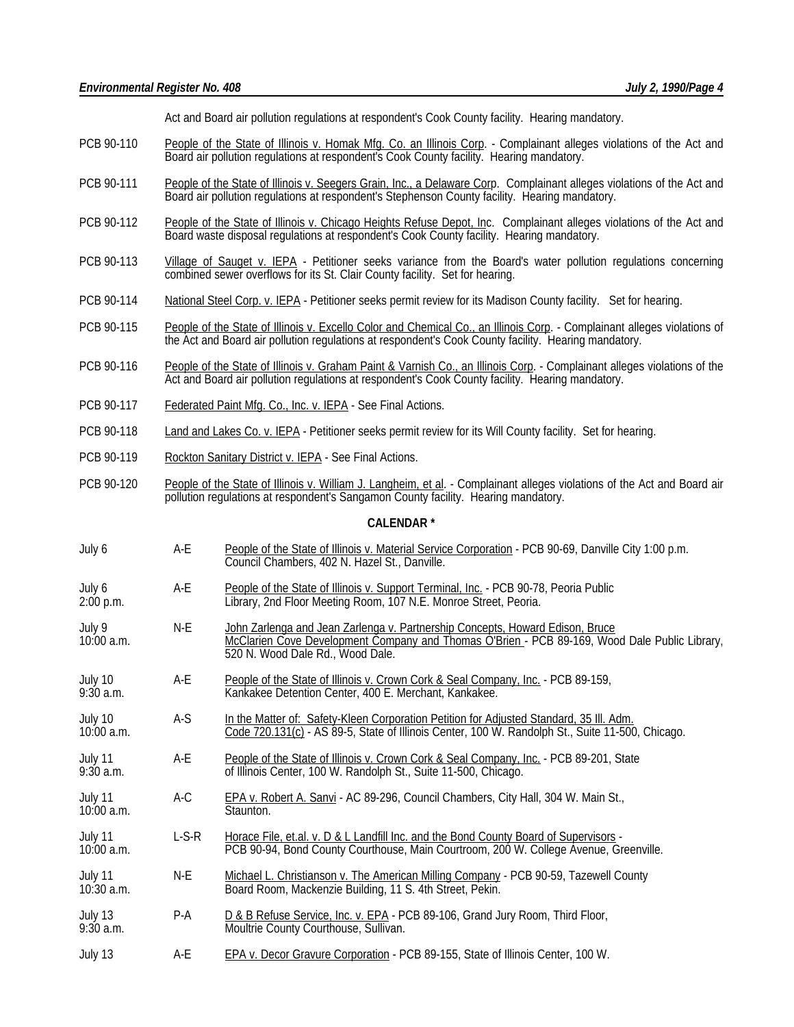Act and Board air pollution regulations at respondent's Cook County facility. Hearing mandatory.

- PCB 90-110 People of the State of Illinois v. Homak Mfg. Co. an Illinois Corp. Complainant alleges violations of the Act and Board air pollution regulations at respondent's Cook County facility. Hearing mandatory.
- PCB 90-111 People of the State of Illinois v. Seegers Grain, Inc., a Delaware Corp. Complainant alleges violations of the Act and Board air pollution regulations at respondent's Stephenson County facility. Hearing mandatory.
- PCB 90-112 People of the State of Illinois v. Chicago Heights Refuse Depot, Inc. Complainant alleges violations of the Act and Board waste disposal regulations at respondent's Cook County facility. Hearing mandatory.
- PCB 90-113 Village of Sauget v. IEPA Petitioner seeks variance from the Board's water pollution regulations concerning combined sewer overflows for its St. Clair County facility. Set for hearing.
- PCB 90-114 National Steel Corp. v. IEPA Petitioner seeks permit review for its Madison County facility. Set for hearing.
- PCB 90-115 People of the State of Illinois v. Excello Color and Chemical Co., an Illinois Corp. Complainant alleges violations of the Act and Board air pollution regulations at respondent's Cook County facility. Hearing mandatory.
- PCB 90-116 People of the State of Illinois v. Graham Paint & Varnish Co., an Illinois Corp. Complainant alleges violations of the Act and Board air pollution regulations at respondent's Cook County facility. Hearing mandatory.
- PCB 90-117 Federated Paint Mfg. Co., Inc. v. IEPA See Final Actions.
- PCB 90-118 Land and Lakes Co. v. IEPA Petitioner seeks permit review for its Will County facility. Set for hearing.
- PCB 90-119 Rockton Sanitary District v. IEPA See Final Actions.
- PCB 90-120 People of the State of Illinois v. William J. Langheim, et al. Complainant alleges violations of the Act and Board air pollution regulations at respondent's Sangamon County facility. Hearing mandatory.

### **CALENDAR \***

- July 6 A-E People of the State of Illinois v. Material Service Corporation PCB 90-69, Danville City 1:00 p.m. Council Chambers, 402 N. Hazel St., Danville.
- July 6 **A-E** People of the State of Illinois v. Support Terminal, Inc. PCB 90-78, Peoria Public 2:00 p.m. Library, 2nd Floor Meeting Room, 107 N.E. Monroe Street, Peoria.
- July 9 **N-E** John Zarlenga and Jean Zarlenga v. Partnership Concepts, Howard Edison, Bruce<br>10:00 a.m. **McClarien Cove Development Company and Thomas O'Brien PCB 89-169. Woo** McClarien Cove Development Company and Thomas O'Brien - PCB 89-169, Wood Dale Public Library, 520 N. Wood Dale Rd., Wood Dale.
- July 10 **A-E** People of the State of Illinois v. Crown Cork & Seal Company, Inc. PCB 89-159, 9:30 a.m. Kankakee Detention Center, 400 E. Merchant, Kankakee.
- July 10 **A-S** In the Matter of: Safety-Kleen Corporation Petition for Adjusted Standard, 35 Ill. Adm.<br>10:00 a.m. Code 720.131(c) AS 89-5. State of Illinois Center. 100 W. Randolph St., Suite 11-500 nale matter of Editor Code 720.131(c) - AS 89-5, State of Illinois Center, 100 W. Randolph St., Suite 11-500, Chicago.
- July 11 A-E People of the State of Illinois v. Crown Cork & Seal Company, Inc. PCB 89-201, State P. 30. 201, State P. 30. 201, State P. 30. 2010 F. 200, Chicago. of Illinois Center, 100 W. Randolph St., Suite 11-500, Chicago.
- A-C EPA v. Robert A. Sanvi AC 89-296, Council Chambers, City Hall, 304 W. Main St., Staunton. July 11<br>10:00 a.m.
- July 11 L-S-R Horace File, et.al. v. D & L Landfill Inc. and the Bond County Board of Supervisors -<br>10:00 a.m. PCB 90-94, Bond County Courthouse, Main Courtroom, 200 W. College Avenue, Gr PCB 90-94, Bond County Courthouse, Main Courtroom, 200 W. College Avenue, Greenville.
- July 11 N-E Michael L. Christianson v. The American Milling Company PCB 90-59, Tazewell County 10:30 a.m. Board Room, Mackenzie Building, 11 S. 4th Street, Pekin.
- July 13 P-A D & B Refuse Service, Inc. v. EPA PCB 89-106, Grand Jury Room, Third Floor, July 20. 2011 Moultrie County Courthouse, Sullivan.
- July 13 A-E EPA v. Decor Gravure Corporation PCB 89-155, State of Illinois Center, 100 W.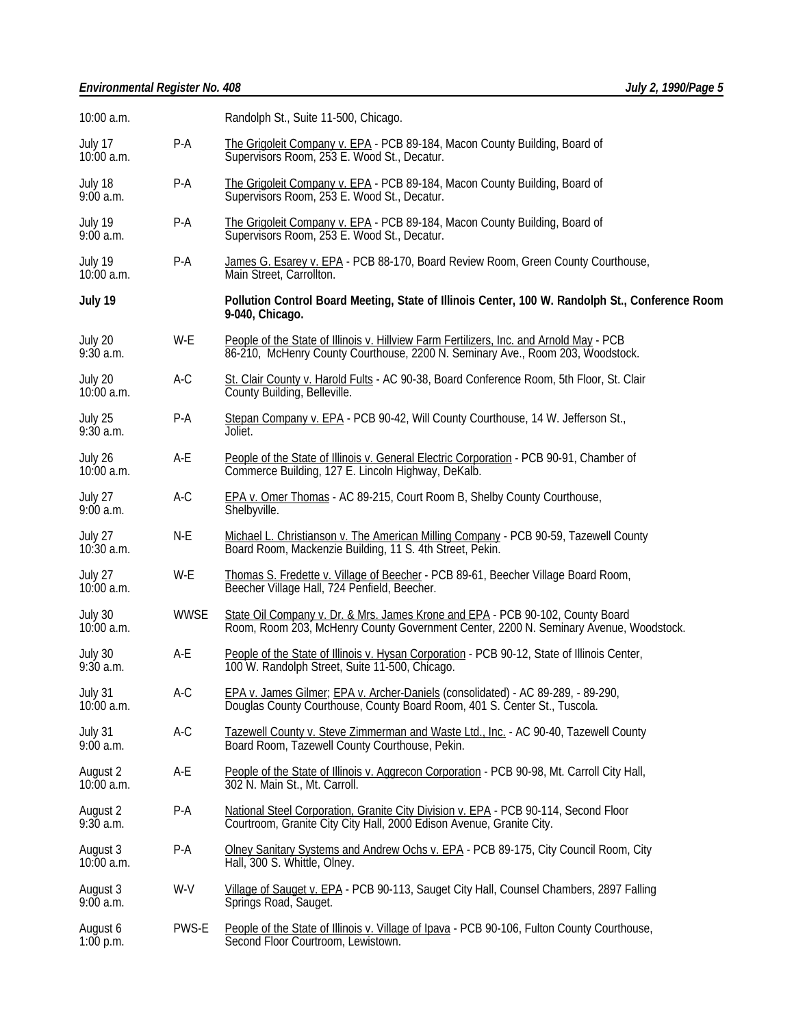| 10:00 a.m.               |             | Randolph St., Suite 11-500, Chicago.                                                                                                                                      |
|--------------------------|-------------|---------------------------------------------------------------------------------------------------------------------------------------------------------------------------|
| July 17<br>$10:00$ a.m.  | P-A         | The Grigoleit Company v. EPA - PCB 89-184, Macon County Building, Board of<br>Supervisors Room, 253 E. Wood St., Decatur.                                                 |
| July 18<br>$9:00$ a.m.   | P-A         | The Grigoleit Company v. EPA - PCB 89-184, Macon County Building, Board of<br>Supervisors Room, 253 E. Wood St., Decatur.                                                 |
| July 19<br>$9:00$ a.m.   | P-A         | The Grigoleit Company v. EPA - PCB 89-184, Macon County Building, Board of<br>Supervisors Room, 253 E. Wood St., Decatur.                                                 |
| July 19<br>10:00 a.m.    | P-A         | James G. Esarey v. EPA - PCB 88-170, Board Review Room, Green County Courthouse,<br>Main Street, Carrollton.                                                              |
| July 19                  |             | Pollution Control Board Meeting, State of Illinois Center, 100 W. Randolph St., Conference Room<br>9-040, Chicago.                                                        |
| July 20<br>$9:30$ a.m.   | W-E         | People of the State of Illinois v. Hillview Farm Fertilizers, Inc. and Arnold May - PCB<br>86-210, McHenry County Courthouse, 2200 N. Seminary Ave., Room 203, Woodstock. |
| July 20<br>$10:00$ a.m.  | A-C         | St. Clair County v. Harold Fults - AC 90-38, Board Conference Room, 5th Floor, St. Clair<br>County Building, Belleville.                                                  |
| July 25<br>$9:30$ a.m.   | P-A         | Stepan Company v. EPA - PCB 90-42, Will County Courthouse, 14 W. Jefferson St.,<br>Joliet.                                                                                |
| July 26<br>$10:00$ a.m.  | A-E         | People of the State of Illinois v. General Electric Corporation - PCB 90-91, Chamber of<br>Commerce Building, 127 E. Lincoln Highway, DeKalb.                             |
| July 27<br>$9:00$ a.m.   | A-C         | EPA v. Omer Thomas - AC 89-215, Court Room B, Shelby County Courthouse,<br>Shelbyville.                                                                                   |
| July 27<br>$10:30$ a.m.  | N-E         | Michael L. Christianson v. The American Milling Company - PCB 90-59, Tazewell County<br>Board Room, Mackenzie Building, 11 S. 4th Street, Pekin.                          |
| July 27<br>$10:00$ a.m.  | W-E         | Thomas S. Fredette v. Village of Beecher - PCB 89-61, Beecher Village Board Room,<br>Beecher Village Hall, 724 Penfield, Beecher.                                         |
| July 30<br>$10:00$ a.m.  | <b>WWSE</b> | State Oil Company v. Dr. & Mrs. James Krone and EPA - PCB 90-102, County Board<br>Room, Room 203, McHenry County Government Center, 2200 N. Seminary Avenue, Woodstock.   |
| July 30<br>$9:30$ a.m.   | A-E         | People of the State of Illinois v. Hysan Corporation - PCB 90-12, State of Illinois Center,<br>100 W. Randolph Street, Suite 11-500, Chicago.                             |
| July 31<br>$10:00$ a.m.  | A-C         | EPA v. James Gilmer; EPA v. Archer-Daniels (consolidated) - AC 89-289, - 89-290,<br>Douglas County Courthouse, County Board Room, 401 S. Center St., Tuscola.             |
| July 31<br>9:00a.m.      | $A-C$       | Tazewell County v. Steve Zimmerman and Waste Ltd., Inc. - AC 90-40, Tazewell County<br>Board Room, Tazewell County Courthouse, Pekin.                                     |
| August 2<br>$10:00$ a.m. | A-E         | People of the State of Illinois v. Aggrecon Corporation - PCB 90-98, Mt. Carroll City Hall,<br>302 N. Main St., Mt. Carroll.                                              |
| August 2<br>9:30a.m.     | P-A         | National Steel Corporation, Granite City Division v. EPA - PCB 90-114, Second Floor<br>Courtroom, Granite City City Hall, 2000 Edison Avenue, Granite City.               |
| August 3<br>$10:00$ a.m. | P-A         | Olney Sanitary Systems and Andrew Ochs v. EPA - PCB 89-175, City Council Room, City<br>Hall, 300 S. Whittle, Olney.                                                       |
| August 3<br>9:00a.m.     | W-V         | Village of Sauget v. EPA - PCB 90-113, Sauget City Hall, Counsel Chambers, 2897 Falling<br>Springs Road, Sauget.                                                          |
| August 6<br>$1:00$ p.m.  | PWS-E       | People of the State of Illinois v. Village of Ipava - PCB 90-106, Fulton County Courthouse,<br>Second Floor Courtroom, Lewistown.                                         |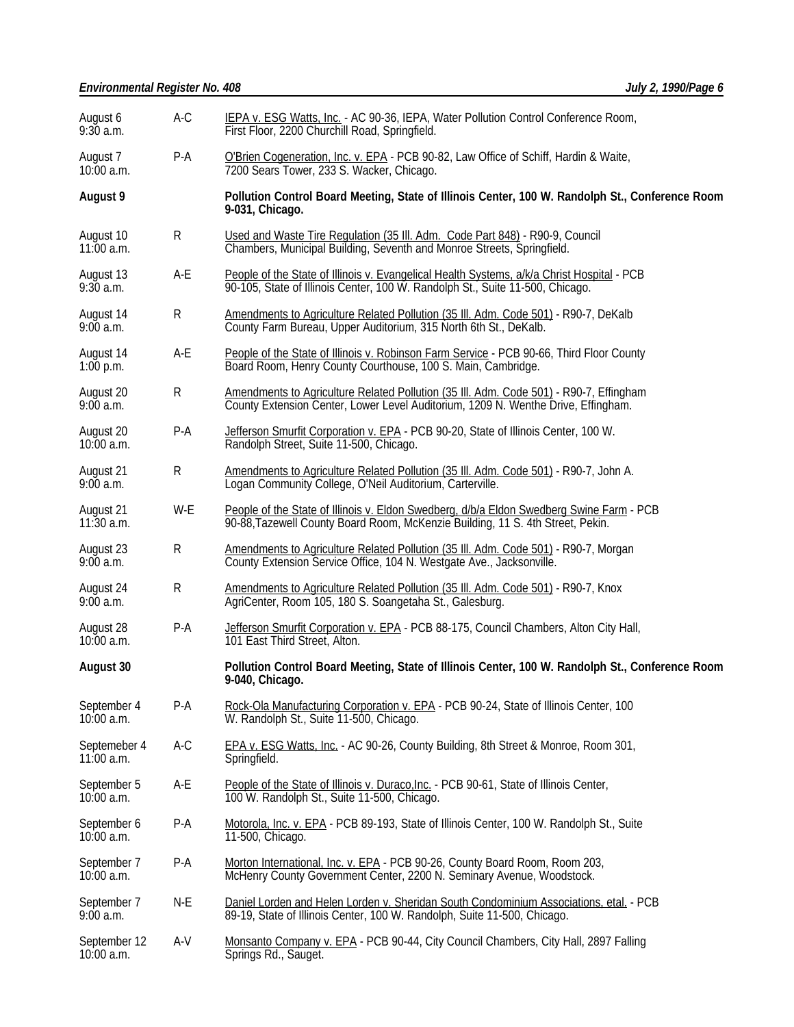| August 6<br>9:30a.m.         | A-C   | IEPA v. ESG Watts, Inc. - AC 90-36, IEPA, Water Pollution Control Conference Room,<br>First Floor, 2200 Churchill Road, Springfield.                                        |  |  |
|------------------------------|-------|-----------------------------------------------------------------------------------------------------------------------------------------------------------------------------|--|--|
| August 7<br>$10:00$ a.m.     | P-A   | O'Brien Cogeneration, Inc. v. EPA - PCB 90-82, Law Office of Schiff, Hardin & Waite,<br>7200 Sears Tower, 233 S. Wacker, Chicago.                                           |  |  |
| <b>August 9</b>              |       | Pollution Control Board Meeting, State of Illinois Center, 100 W. Randolph St., Conference Room<br>9-031, Chicago.                                                          |  |  |
| August 10<br>$11:00$ a.m.    | R     | Used and Waste Tire Regulation (35 III. Adm. Code Part 848) - R90-9, Council<br>Chambers, Municipal Building, Seventh and Monroe Streets, Springfield.                      |  |  |
| August 13<br>9:30a.m.        | A-E   | People of the State of Illinois v. Evangelical Health Systems, a/k/a Christ Hospital - PCB<br>90-105, State of Illinois Center, 100 W. Randolph St., Suite 11-500, Chicago. |  |  |
| August 14<br>9:00a.m.        | R     | Amendments to Agriculture Related Pollution (35 III. Adm. Code 501) - R90-7, DeKalb<br>County Farm Bureau, Upper Auditorium, 315 North 6th St., DeKalb.                     |  |  |
| August 14<br>$1:00$ p.m.     | A-E   | People of the State of Illinois v. Robinson Farm Service - PCB 90-66, Third Floor County<br>Board Room, Henry County Courthouse, 100 S. Main, Cambridge.                    |  |  |
| August 20<br>$9:00$ a.m.     | R     | Amendments to Agriculture Related Pollution (35 III. Adm. Code 501) - R90-7, Effingham<br>County Extension Center, Lower Level Auditorium, 1209 N. Wenthe Drive, Effingham. |  |  |
| August 20<br>$10:00$ a.m.    | $P-A$ | Jefferson Smurfit Corporation v. EPA - PCB 90-20, State of Illinois Center, 100 W.<br>Randolph Street, Suite 11-500, Chicago.                                               |  |  |
| August 21<br>$9:00$ a.m.     | R     | Amendments to Agriculture Related Pollution (35 III. Adm. Code 501) - R90-7, John A.<br>Logan Community College, O'Neil Auditorium, Carterville.                            |  |  |
| August 21<br>$11:30$ a.m.    | W-E   | People of the State of Illinois v. Eldon Swedberg, d/b/a Eldon Swedberg Swine Farm - PCB<br>90-88, Tazewell County Board Room, McKenzie Building, 11 S. 4th Street, Pekin.  |  |  |
| August 23<br>9:00a.m.        | R     | Amendments to Agriculture Related Pollution (35 III. Adm. Code 501) - R90-7, Morgan<br>County Extension Service Office, 104 N. Westgate Ave., Jacksonville.                 |  |  |
| August 24<br>9:00a.m.        | R     | Amendments to Agriculture Related Pollution (35 III. Adm. Code 501) - R90-7, Knox<br>AgriCenter, Room 105, 180 S. Soangetaha St., Galesburg.                                |  |  |
| August 28<br>$10:00$ a.m.    | P-A   | Jefferson Smurfit Corporation v. EPA - PCB 88-175, Council Chambers, Alton City Hall,<br>101 East Third Street, Alton.                                                      |  |  |
| August 30                    |       | Pollution Control Board Meeting, State of Illinois Center, 100 W. Randolph St., Conference Room<br>9-040, Chicago.                                                          |  |  |
| September 4<br>10:00 a.m.    | P-A   | Rock-Ola Manufacturing Corporation v. EPA - PCB 90-24, State of Illinois Center, 100<br>W. Randolph St., Suite 11-500, Chicago.                                             |  |  |
| Septemeber 4<br>$11:00$ a.m. | A-C   | EPA v. ESG Watts, Inc. - AC 90-26, County Building, 8th Street & Monroe, Room 301,<br>Springfield.                                                                          |  |  |
| September 5<br>10:00 a.m.    | A-E   | People of the State of Illinois v. Duraco, Inc. - PCB 90-61, State of Illinois Center,<br>100 W. Randolph St., Suite 11-500, Chicago.                                       |  |  |
| September 6<br>10:00 a.m.    | P-A   | Motorola, Inc. v. EPA - PCB 89-193, State of Illinois Center, 100 W. Randolph St., Suite<br>11-500, Chicago.                                                                |  |  |
| September 7<br>$10:00$ a.m.  | P-A   | Morton International, Inc. v. EPA - PCB 90-26, County Board Room, Room 203,<br>McHenry County Government Center, 2200 N. Seminary Avenue, Woodstock.                        |  |  |
| September 7<br>$9:00$ a.m.   | N-E   | Daniel Lorden and Helen Lorden v. Sheridan South Condominium Associations, etal. - PCB<br>89-19, State of Illinois Center, 100 W. Randolph, Suite 11-500, Chicago.          |  |  |
| September 12<br>10:00 a.m.   | A-V   | Monsanto Company v. EPA - PCB 90-44, City Council Chambers, City Hall, 2897 Falling<br>Springs Rd., Sauget.                                                                 |  |  |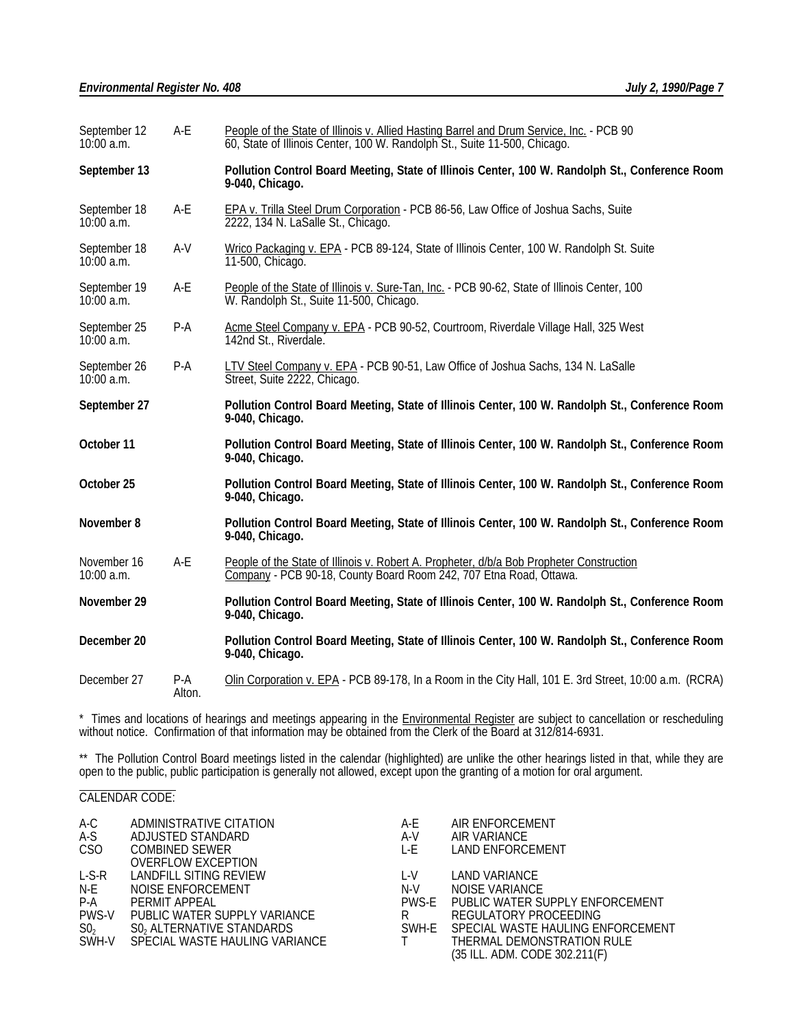| September 12<br>10:00 a.m.   | A-E             | People of the State of Illinois v. Allied Hasting Barrel and Drum Service, Inc. - PCB 90<br>60, State of Illinois Center, 100 W. Randolph St., Suite 11-500, Chicago. |  |
|------------------------------|-----------------|-----------------------------------------------------------------------------------------------------------------------------------------------------------------------|--|
| September 13                 |                 | Pollution Control Board Meeting, State of Illinois Center, 100 W. Randolph St., Conference Room<br>9-040, Chicago.                                                    |  |
| September 18<br>$10:00$ a.m. | A-E             | EPA v. Trilla Steel Drum Corporation - PCB 86-56, Law Office of Joshua Sachs, Suite<br>2222, 134 N. LaSalle St., Chicago.                                             |  |
| September 18<br>$10:00$ a.m. | $A-V$           | Wrico Packaging v. EPA - PCB 89-124, State of Illinois Center, 100 W. Randolph St. Suite<br>11-500, Chicago.                                                          |  |
| September 19<br>10:00 a.m.   | A-E             | People of the State of Illinois v. Sure-Tan, Inc. - PCB 90-62, State of Illinois Center, 100<br>W. Randolph St., Suite 11-500, Chicago.                               |  |
| September 25<br>$10:00$ a.m. | $P-A$           | Acme Steel Company v. EPA - PCB 90-52, Courtroom, Riverdale Village Hall, 325 West<br>142nd St., Riverdale.                                                           |  |
| September 26<br>10:00 a.m.   | P-A             | LTV Steel Company v. EPA - PCB 90-51, Law Office of Joshua Sachs, 134 N. LaSalle<br>Street, Suite 2222, Chicago.                                                      |  |
| September 27                 |                 | Pollution Control Board Meeting, State of Illinois Center, 100 W. Randolph St., Conference Room<br>9-040, Chicago.                                                    |  |
| October 11                   |                 | Pollution Control Board Meeting, State of Illinois Center, 100 W. Randolph St., Conference Room<br>9-040, Chicago.                                                    |  |
| October 25                   |                 | Pollution Control Board Meeting, State of Illinois Center, 100 W. Randolph St., Conference Room<br>9-040, Chicago.                                                    |  |
| November 8                   |                 | Pollution Control Board Meeting, State of Illinois Center, 100 W. Randolph St., Conference Room<br>9-040, Chicago.                                                    |  |
| November 16<br>10:00 a.m.    | $A-E$           | People of the State of Illinois v. Robert A. Propheter, d/b/a Bob Propheter Construction<br>Company - PCB 90-18, County Board Room 242, 707 Etna Road, Ottawa.        |  |
| November 29                  |                 | Pollution Control Board Meeting, State of Illinois Center, 100 W. Randolph St., Conference Room<br>9-040, Chicago.                                                    |  |
| December 20                  |                 | Pollution Control Board Meeting, State of Illinois Center, 100 W. Randolph St., Conference Room<br>9-040, Chicago.                                                    |  |
| December 27                  | $P-A$<br>Alton. | Olin Corporation v. EPA - PCB 89-178, In a Room in the City Hall, 101 E. 3rd Street, 10:00 a.m. (RCRA)                                                                |  |

\* Times and locations of hearings and meetings appearing in the **Environmental Register** are subject to cancellation or rescheduling without notice. Confirmation of that information may be obtained from the Clerk of the Board at 312/814-6931.

\*\* The Pollution Control Board meetings listed in the calendar (highlighted) are unlike the other hearings listed in that, while they are open to the public, public participation is generally not allowed, except upon the granting of a motion for oral argument.

#### l CALENDAR CODE:

| A-C             | ADMINISTRATIVE CITATION      | A-E   | AIR ENFORCEMENT                         |
|-----------------|------------------------------|-------|-----------------------------------------|
| A-S             | ADJUSTED STANDARD            | A-V   | AIR VARIANCE                            |
| CSO             | <b>COMBINED SEWER</b>        | L-E   | LAND ENFORCEMENT                        |
|                 | <b>OVERFLOW EXCEPTION</b>    |       |                                         |
| $L-S-R$         | LANDFILL SITING REVIEW       | L-V   | LAND VARIANCE                           |
| N-E             | NOISE ENFORCEMENT            | N-V   | NOISE VARIANCE                          |
| $P-A$           | PERMIT APPEAL                | PWS-F | PUBLIC WATER SUPPLY ENFORCEMENT         |
| PWS-V           | PUBLIC WATER SUPPLY VARIANCE | R     | REGULATORY PROCEEDING                   |
| SO <sub>2</sub> | S0, ALTERNATIVE STANDARDS    |       | SWH-E SPECIAL WASTE HAULING ENFORCEMENT |
| SWH-V           |                              |       | THERMAL DEMONSTRATION RULE              |
|                 |                              |       | (35 ILL. ADM. CODE 302.211(F)           |